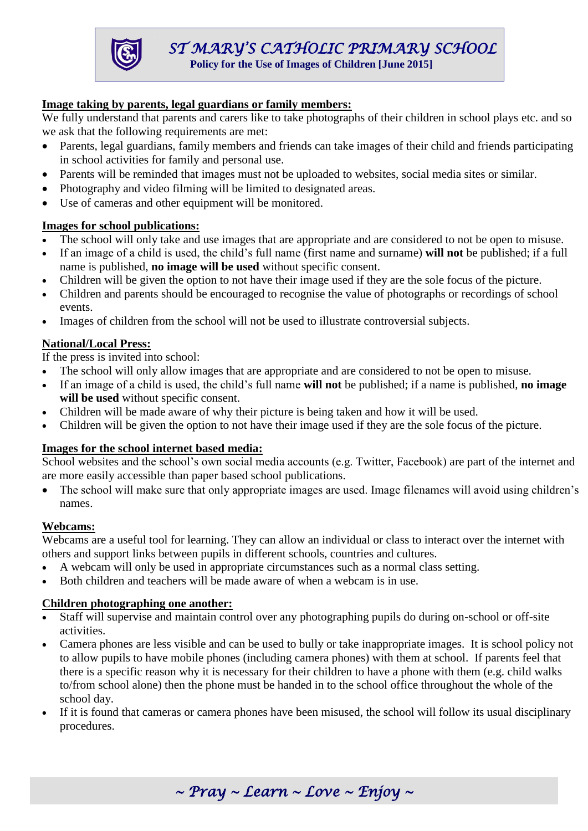**Policy for the Use of Images of Children [June 2015]**

# **Image taking by parents, legal guardians or family members:**

We fully understand that parents and carers like to take photographs of their children in school plays etc. and so we ask that the following requirements are met:

- Parents, legal guardians, family members and friends can take images of their child and friends participating in school activities for family and personal use.
- Parents will be reminded that images must not be uploaded to websites, social media sites or similar.
- Photography and video filming will be limited to designated areas.
- Use of cameras and other equipment will be monitored.

# **Images for school publications:**

- The school will only take and use images that are appropriate and are considered to not be open to misuse.
- If an image of a child is used, the child's full name (first name and surname) **will not** be published; if a full name is published, **no image will be used** without specific consent.
- Children will be given the option to not have their image used if they are the sole focus of the picture.
- Children and parents should be encouraged to recognise the value of photographs or recordings of school events.
- Images of children from the school will not be used to illustrate controversial subjects.

# **National/Local Press:**

If the press is invited into school:

- The school will only allow images that are appropriate and are considered to not be open to misuse.
- If an image of a child is used, the child's full name **will not** be published; if a name is published, **no image will be used** without specific consent.
- Children will be made aware of why their picture is being taken and how it will be used.
- Children will be given the option to not have their image used if they are the sole focus of the picture.

### **Images for the school internet based media:**

School websites and the school's own social media accounts (e.g. Twitter, Facebook) are part of the internet and are more easily accessible than paper based school publications.

• The school will make sure that only appropriate images are used. Image filenames will avoid using children's names.

### **Webcams:**

Webcams are a useful tool for learning. They can allow an individual or class to interact over the internet with others and support links between pupils in different schools, countries and cultures.

- A webcam will only be used in appropriate circumstances such as a normal class setting.
- Both children and teachers will be made aware of when a webcam is in use.

### **Children photographing one another:**

- Staff will supervise and maintain control over any photographing pupils do during on-school or off-site activities.
- Camera phones are less visible and can be used to bully or take inappropriate images. It is school policy not to allow pupils to have mobile phones (including camera phones) with them at school. If parents feel that there is a specific reason why it is necessary for their children to have a phone with them (e.g. child walks to/from school alone) then the phone must be handed in to the school office throughout the whole of the school day.
- If it is found that cameras or camera phones have been misused, the school will follow its usual disciplinary procedures.

*~ Pray ~ Learn ~ Love ~ Enjoy ~*